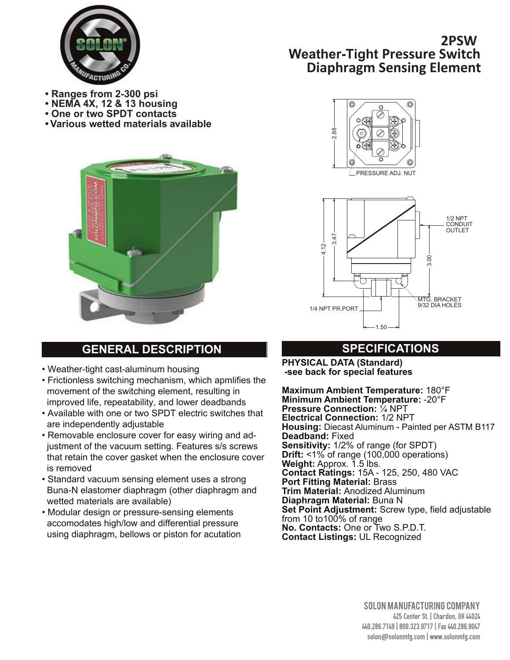

- **Ranges from 2-300 psi**
- **NEMA 4X, 12 & 13 housing**
- **One or two SPDT contacts**
- **Various wetted materials available**



# **GENERAL DESCRIPTION SPECIFICATIONS**

- Weather-tight cast-aluminum housing
- Frictionless switching mechanism, which apmlifies the movement of the switching element, resulting in improved life, repeatability, and lower deadbands
- Available with one or two SPDT electric switches that are independently adjustable
- Removable enclosure cover for easy wiring and ad justment of the vacuum setting. Features s/s screws that retain the cover gasket when the enclosure cover is removed
- Standard vacuum sensing element uses a strong Buna-N elastomer diaphragm (other diaphragm and wetted materials are available)
- Modular design or pressure-sensing elements accomodates high/low and differential pressure using diaphragm, bellows or piston for acutation

# **2PSW Weather-Tight Pressure Switch Diaphragm Sensing Element**





**PHYSICAL DATA (Standard) -see back for special features**

**Maximum Ambient Temperature:** 180°F **Minimum Ambient Temperature:** -20°F **Pressure Connection:** ¼ NPT **Electrical Connection:** 1/2 NPT **Housing:** Diecast Aluminum - Painted per ASTM B117 **Deadband:** Fixed **Sensitivity:** 1/2% of range (for SPDT) **Drift:** <1% of range (100,000 operations) **Weight:** Approx. 1.5 lbs. **Contact Ratings:** 15A - 125, 250, 480 VAC **Port Fitting Material:** Brass **Trim Material:** Anodized Aluminum **Diaphragm Material:** Buna N **Set Point Adjustment:** Screw type, field adjustable from 10 to100% of range **No. Contacts:** One or Two S.P.D.T. **Example 12.88**<br>
Contact Listings: 15.48<br>
Contact Reference 2.88<br>
Contact Reflection 2.88<br>
Contact Reflection 2.88<br>
Contact Reflection 2.88<br>
Contact Reflection 2.88<br>
Contact Reflection 2.88<br>
Contact Reflection 2.88<br>
Contac